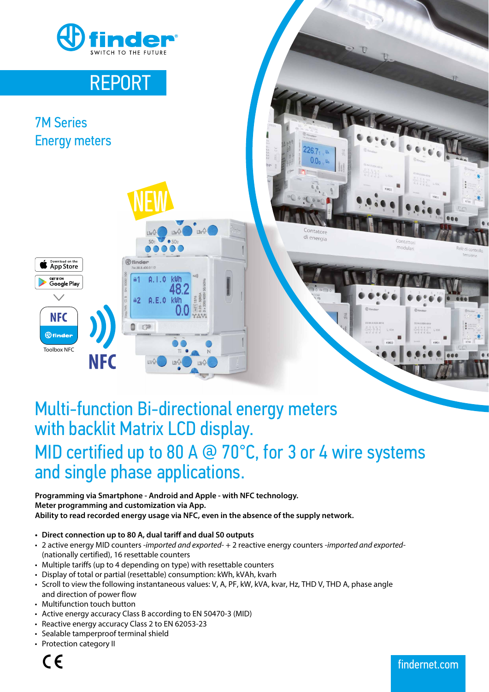

## Multi-function Bi-directional energy meters with backlit Matrix LCD display.

## MID certified up to 80 A @ 70°C, for 3 or 4 wire systems and single phase applications.

**Programming via Smartphone - Android and Apple - with NFC technology. Meter programming and customization via App. Ability to read recorded energy usage via NFC, even in the absence of the supply network.**

- **• Direct connection up to 80 A, dual tariff and dual S0 outputs**
- 2 active energy MID counters *-imported and exported-* + 2 reactive energy counters *-imported and exported-* (nationally certified), 16 resettable counters
- Multiple tariffs (up to 4 depending on type) with resettable counters
- Display of total or partial (resettable) consumption: kWh, kVAh, kvarh
- Scroll to view the following instantaneous values: V, A, PF, kW, kVA, kvar, Hz, THD V, THD A, phase angle and direction of power flow
- Multifunction touch button
- Active energy accuracy Class B according to EN 50470-3 (MID)
- Reactive energy accuracy Class 2 to EN 62053-23
- Sealable tamperproof terminal shield
- Protection category II

## findernet.com